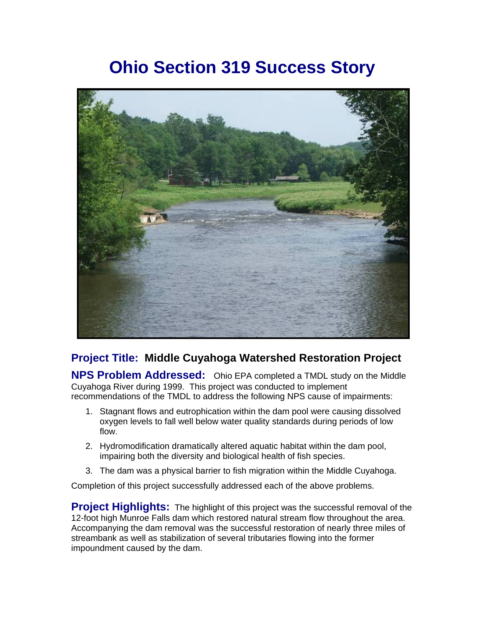# **Ohio Section 319 Success Story**



## **Project Title: Middle Cuyahoga Watershed Restoration Project**

**NPS Problem Addressed:** Ohio EPA completed a TMDL study on the Middle Cuyahoga River during 1999. This project was conducted to implement recommendations of the TMDL to address the following NPS cause of impairments:

- 1. Stagnant flows and eutrophication within the dam pool were causing dissolved oxygen levels to fall well below water quality standards during periods of low flow.
- 2. Hydromodification dramatically altered aquatic habitat within the dam pool, impairing both the diversity and biological health of fish species.
- 3. The dam was a physical barrier to fish migration within the Middle Cuyahoga.

Completion of this project successfully addressed each of the above problems.

**Project Highlights:** The highlight of this project was the successful removal of the 12-foot high Munroe Falls dam which restored natural stream flow throughout the area. Accompanying the dam removal was the successful restoration of nearly three miles of streambank as well as stabilization of several tributaries flowing into the former impoundment caused by the dam.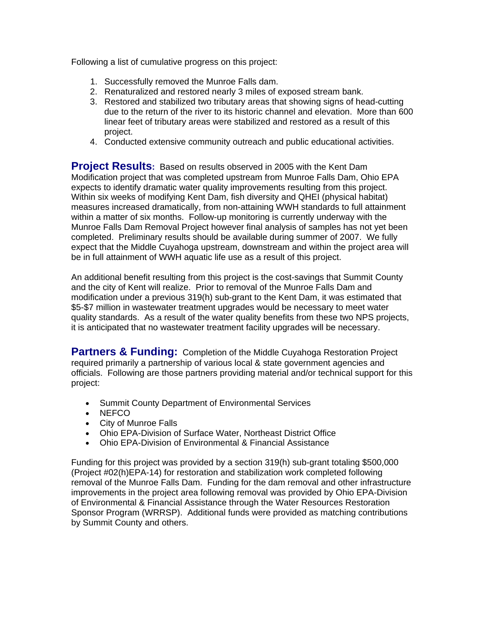Following a list of cumulative progress on this project:

- 1. Successfully removed the Munroe Falls dam.
- 2. Renaturalized and restored nearly 3 miles of exposed stream bank.
- 3. Restored and stabilized two tributary areas that showing signs of head-cutting due to the return of the river to its historic channel and elevation. More than 600 linear feet of tributary areas were stabilized and restored as a result of this project.
- 4. Conducted extensive community outreach and public educational activities.

**Project Results:** Based on results observed in 2005 with the Kent Dam Modification project that was completed upstream from Munroe Falls Dam, Ohio EPA expects to identify dramatic water quality improvements resulting from this project. Within six weeks of modifying Kent Dam, fish diversity and QHEI (physical habitat) measures increased dramatically, from non-attaining WWH standards to full attainment within a matter of six months. Follow-up monitoring is currently underway with the Munroe Falls Dam Removal Project however final analysis of samples has not yet been completed. Preliminary results should be available during summer of 2007. We fully expect that the Middle Cuyahoga upstream, downstream and within the project area will be in full attainment of WWH aquatic life use as a result of this project.

An additional benefit resulting from this project is the cost-savings that Summit County and the city of Kent will realize. Prior to removal of the Munroe Falls Dam and modification under a previous 319(h) sub-grant to the Kent Dam, it was estimated that \$5-\$7 million in wastewater treatment upgrades would be necessary to meet water quality standards. As a result of the water quality benefits from these two NPS projects, it is anticipated that no wastewater treatment facility upgrades will be necessary.

**Partners & Funding:** Completion of the Middle Cuyahoga Restoration Project required primarily a partnership of various local & state government agencies and officials. Following are those partners providing material and/or technical support for this project:

- Summit County Department of Environmental Services
- NEFCO
- City of Munroe Falls
- Ohio EPA-Division of Surface Water, Northeast District Office
- Ohio EPA-Division of Environmental & Financial Assistance

Funding for this project was provided by a section 319(h) sub-grant totaling \$500,000 (Project #02(h)EPA-14) for restoration and stabilization work completed following removal of the Munroe Falls Dam. Funding for the dam removal and other infrastructure improvements in the project area following removal was provided by Ohio EPA-Division of Environmental & Financial Assistance through the Water Resources Restoration Sponsor Program (WRRSP). Additional funds were provided as matching contributions by Summit County and others.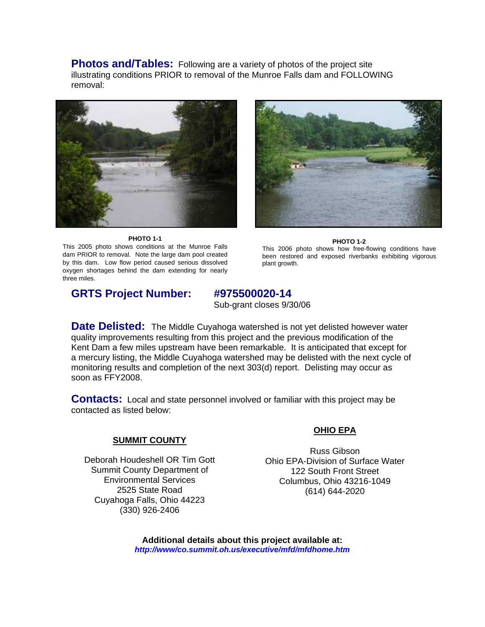**Photos and/Tables:** Following are a variety of photos of the project site illustrating conditions PRIOR to removal of the Munroe Falls dam and FOLLOWING removal:



**PHOTO 1-1** 

This 2005 photo shows conditions at the Munroe Falls dam PRIOR to removal. Note the large dam pool created by this dam. Low flow period caused serious dissolved oxygen shortages behind the dam extending for nearly three miles.



**PHOTO 1-2**  This 2006 photo shows how free-flowing conditions have been restored and exposed riverbanks exhibiting vigorous plant growth.

## **GRTS Project Number: #975500020-14**

Sub-grant closes 9/30/06

**Date Delisted:** The Middle Cuyahoga watershed is not yet delisted however water quality improvements resulting from this project and the previous modification of the Kent Dam a few miles upstream have been remarkable. It is anticipated that except for a mercury listing, the Middle Cuyahoga watershed may be delisted with the next cycle of monitoring results and completion of the next 303(d) report. Delisting may occur as soon as FFY2008.

**Contacts:** Local and state personnel involved or familiar with this project may be contacted as listed below:

### **SUMMIT COUNTY**

Deborah Houdeshell OR Tim Gott Summit County Department of Environmental Services 2525 State Road Cuyahoga Falls, Ohio 44223 (330) 926-2406

### **OHIO EPA**

Russ Gibson Ohio EPA-Division of Surface Water 122 South Front Street Columbus, Ohio 43216-1049 (614) 644-2020

**Additional details about this project available at:**  *http://www/co.summit.oh.us/executive/mfd/mfdhome.htm*